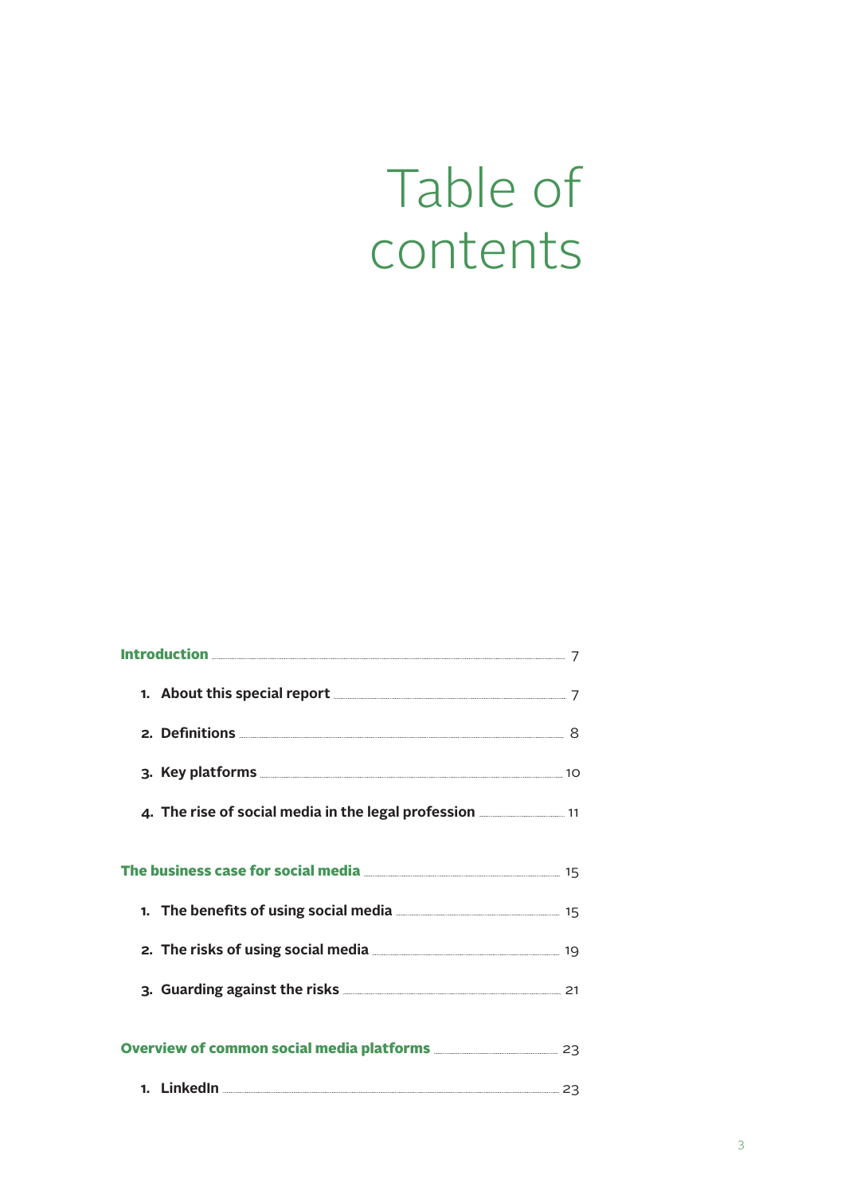## Table of contents

| 1. About this special report <b>All Accord 2018</b> 7                                           |  |
|-------------------------------------------------------------------------------------------------|--|
|                                                                                                 |  |
|                                                                                                 |  |
| 4. The rise of social media in the legal profession <b>contains the rise of social media</b> 11 |  |
|                                                                                                 |  |
| 15 15 net benefits of using social media                                                        |  |
| 2. The risks of using social media 2. 2. The risks of using social media                        |  |
|                                                                                                 |  |
| Overview of common social media platforms <b>COVERTIZE:</b> 23                                  |  |
| 1. LinkedIn 23                                                                                  |  |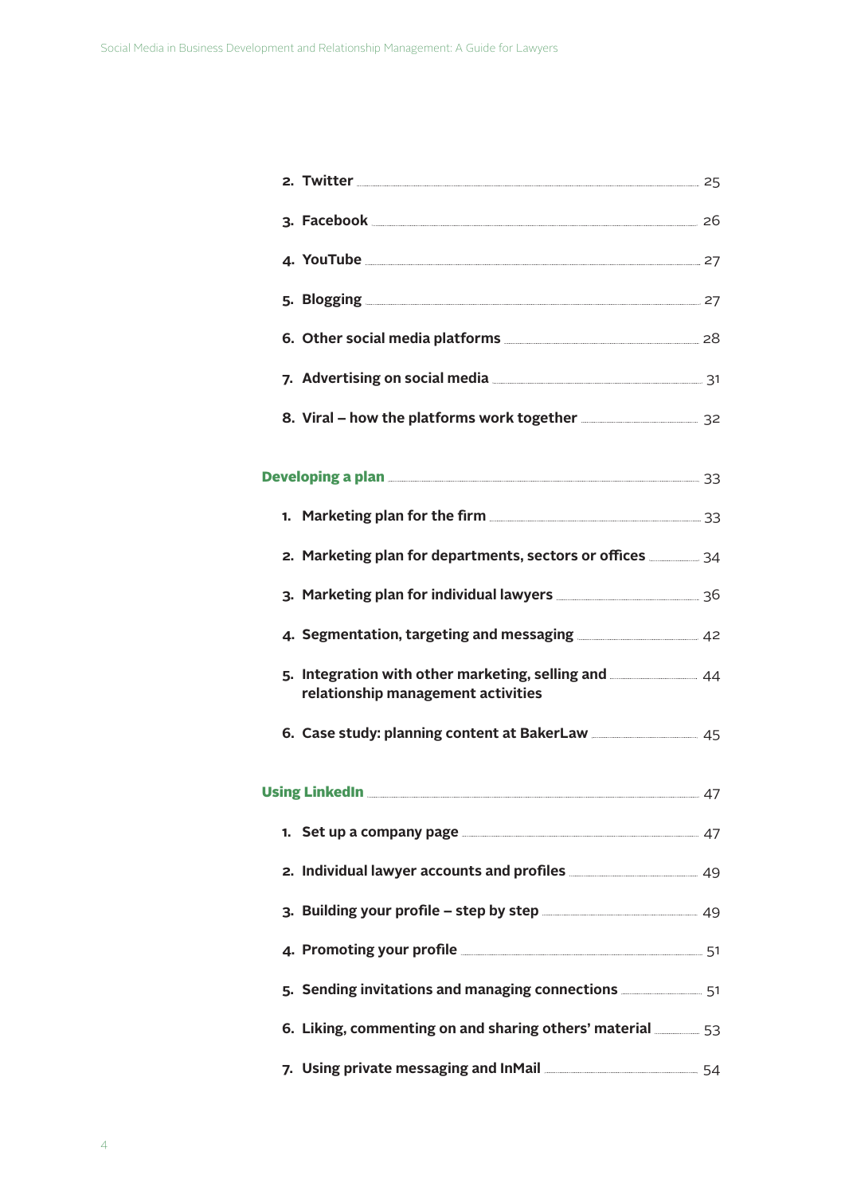| 2. Twitter 25                                                                                                                                                                                                                        |  |
|--------------------------------------------------------------------------------------------------------------------------------------------------------------------------------------------------------------------------------------|--|
| 3. Facebook 26                                                                                                                                                                                                                       |  |
| <b>4. YouTube</b> 27                                                                                                                                                                                                                 |  |
| <b>5. Blogging 27. Example 27. Example 27. Example 27. Example 27. Example 27. Example 27.</b>                                                                                                                                       |  |
| 6. Other social media platforms <b>Manual Accord 28</b> 28                                                                                                                                                                           |  |
| 7. Advertising on social media <b>comparison and the COV</b> 31                                                                                                                                                                      |  |
| 8. Viral - how the platforms work together <b>EXALLA 24 SOME</b> 32                                                                                                                                                                  |  |
|                                                                                                                                                                                                                                      |  |
| 1. Marketing plan for the firm <b>container and the State of August</b> 33                                                                                                                                                           |  |
| 2. Marketing plan for departments, sectors or offices <b>manu-</b> 34                                                                                                                                                                |  |
| 3. Marketing plan for individual lawyers <b>Marior 2008</b> 36                                                                                                                                                                       |  |
| 4. Segmentation, targeting and messaging <b>Commission</b> 42                                                                                                                                                                        |  |
| 5. Integration with other marketing, selling and 244<br>relationship management activities                                                                                                                                           |  |
| 6. Case study: planning content at BakerLaw ________________ 45                                                                                                                                                                      |  |
| Using LinkedIn <u>2008</u> 2020 2020 2020 2030 2047                                                                                                                                                                                  |  |
| Set up a company page <b>Manual According to Account 47</b><br>1.                                                                                                                                                                    |  |
| 2. Individual lawyer accounts and profiles <b>Commission</b> 49                                                                                                                                                                      |  |
| 3. Building your profile - step by step <b>container and starting and starting and starting and starting and starting and starting and starting and starting and starting and starting and starting and starting and starting an</b> |  |
|                                                                                                                                                                                                                                      |  |
| 51 Sending invitations and managing connections <b>SILES 2018</b> 51                                                                                                                                                                 |  |
| 6. Liking, commenting on and sharing others' material <b>shipped</b> 53                                                                                                                                                              |  |
|                                                                                                                                                                                                                                      |  |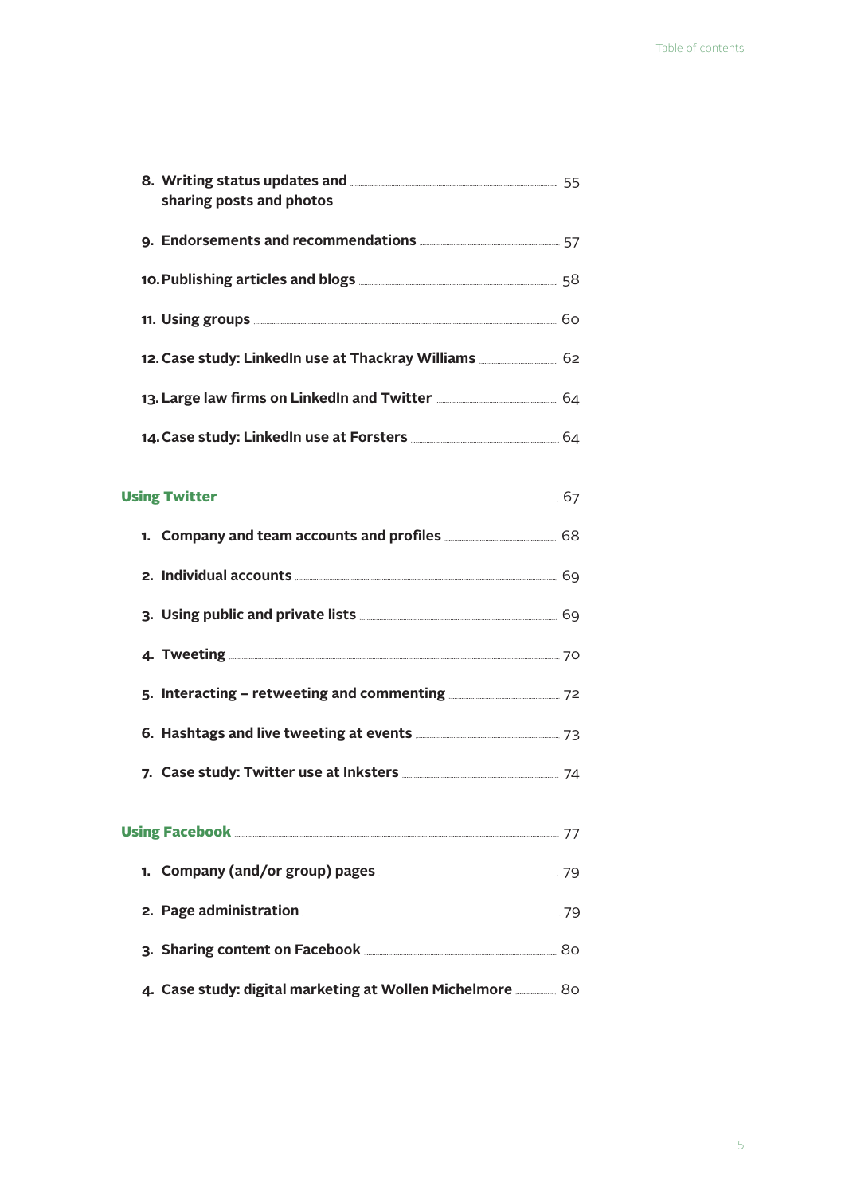| 8. Writing status updates and <b>Manual State State State State State State State State State State State State</b><br>sharing posts and photos |  |
|-------------------------------------------------------------------------------------------------------------------------------------------------|--|
|                                                                                                                                                 |  |
| 10. Publishing articles and blogs <b>Manual According to 1988</b>                                                                               |  |
|                                                                                                                                                 |  |
| 12. Case study: LinkedIn use at Thackray Williams _____________ 62                                                                              |  |
| 13. Large law firms on LinkedIn and Twitter <b>Commission</b> 64                                                                                |  |
| 14. Case study: LinkedIn use at Forsters <b>Commission</b> 64                                                                                   |  |
|                                                                                                                                                 |  |
| 1. Company and team accounts and profiles <b>COMPANGE AREA</b> 68                                                                               |  |
|                                                                                                                                                 |  |
| 3. Using public and private lists <b>Supplies</b> 2014 69                                                                                       |  |
| <b>4. Tweeting 2008 2008 2008 2008 2009 2008 2008 2009 2008 2009 2008 2009 2008 2009 2008 2009 2008 2009 2008 200</b>                           |  |
| 5. Interacting – retweeting and commenting <b>COVID-12</b> 72                                                                                   |  |
| 6. Hashtags and live tweeting at events <b>Manual</b> 23 Million 23                                                                             |  |
| 7. Case study: Twitter use at Inksters <b>Commission</b> 74                                                                                     |  |
|                                                                                                                                                 |  |
|                                                                                                                                                 |  |
|                                                                                                                                                 |  |
|                                                                                                                                                 |  |
| 4. Case study: digital marketing at Wollen Michelmore ________ 80                                                                               |  |